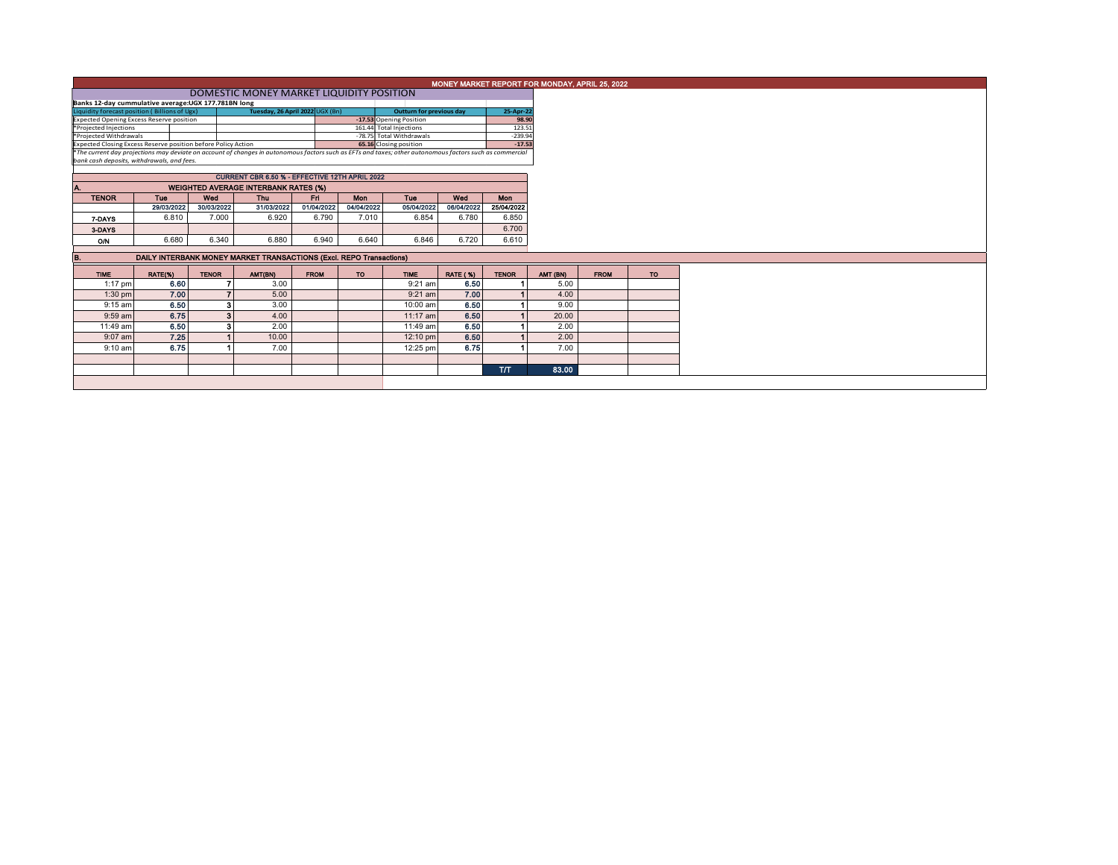|                                                                                                                                                                                                                           | MONEY MARKET REPORT FOR MONDAY, APRIL 25, 2022 |              |                                                                     |             |            |             |                 |                       |           |             |           |  |  |
|---------------------------------------------------------------------------------------------------------------------------------------------------------------------------------------------------------------------------|------------------------------------------------|--------------|---------------------------------------------------------------------|-------------|------------|-------------|-----------------|-----------------------|-----------|-------------|-----------|--|--|
|                                                                                                                                                                                                                           | DOMESTIC MONEY MARKET LIQUIDITY POSITION       |              |                                                                     |             |            |             |                 |                       |           |             |           |  |  |
| Banks 12-day cummulative average:UGX 177.781BN long                                                                                                                                                                       |                                                |              |                                                                     |             |            |             |                 |                       |           |             |           |  |  |
| Liquidity forecast position (Billions of Ugx)<br>Tuesday, 26 April 2022 UGX (Bn)<br><b>Outturn for previous day</b><br>-17.53 Opening Position                                                                            |                                                |              |                                                                     |             |            |             |                 |                       | 25-Apr-22 |             |           |  |  |
|                                                                                                                                                                                                                           | 98.90                                          |              |                                                                     |             |            |             |                 |                       |           |             |           |  |  |
| Expected Opening Excess Reserve position<br>*Projected Injections<br>161.44 Total Injections                                                                                                                              |                                                |              |                                                                     |             |            |             |                 | 123.51                |           |             |           |  |  |
| *Projected Withdrawals<br>-78.75 Total Withdrawals                                                                                                                                                                        |                                                |              |                                                                     |             |            |             |                 | $-239.94$<br>$-17.53$ |           |             |           |  |  |
| Expected Closing Excess Reserve position before Policy Action<br>*The current day projections may deviate on account of changes in autonomous factors such as EFTs and taxes; other autonomous factors such as commercial |                                                |              |                                                                     |             |            |             |                 |                       |           |             |           |  |  |
| bank cash deposits, withdrawals, and fees.                                                                                                                                                                                |                                                |              |                                                                     |             |            |             |                 |                       |           |             |           |  |  |
|                                                                                                                                                                                                                           |                                                |              |                                                                     |             |            |             |                 |                       |           |             |           |  |  |
|                                                                                                                                                                                                                           |                                                |              |                                                                     |             |            |             |                 |                       |           |             |           |  |  |
| А.                                                                                                                                                                                                                        |                                                |              | <b>WEIGHTED AVERAGE INTERBANK RATES (%)</b>                         |             |            |             |                 |                       |           |             |           |  |  |
| <b>TENOR</b>                                                                                                                                                                                                              | <b>Tue</b>                                     | Wed          | <b>Thu</b>                                                          | Fd.         | Mon        | Tue         | Wed             | <b>Mon</b>            |           |             |           |  |  |
|                                                                                                                                                                                                                           | 29/03/2022                                     | 30/03/2022   | 31/03/2022                                                          | 01/04/2022  | 04/04/2022 | 05/04/2022  | 06/04/2022      | 25/04/2022            |           |             |           |  |  |
| 7-DAYS                                                                                                                                                                                                                    | 6.810                                          | 7.000        | 6.920                                                               | 6.790       | 7.010      | 6.854       | 6.780           | 6.850                 |           |             |           |  |  |
| 3-DAYS                                                                                                                                                                                                                    |                                                |              |                                                                     |             |            |             |                 | 6.700                 |           |             |           |  |  |
| O/N                                                                                                                                                                                                                       | 6.680                                          | 6.340        | 6.880                                                               | 6.940       | 6.640      | 6.846       | 6.720           | 6.610                 |           |             |           |  |  |
|                                                                                                                                                                                                                           |                                                |              |                                                                     |             |            |             |                 |                       |           |             |           |  |  |
| B.                                                                                                                                                                                                                        |                                                |              | DAILY INTERBANK MONEY MARKET TRANSACTIONS (Excl. REPO Transactions) |             |            |             |                 |                       |           |             |           |  |  |
| <b>TIME</b>                                                                                                                                                                                                               | RATE(%)                                        | <b>TENOR</b> | AMT(BN)                                                             | <b>FROM</b> | <b>TO</b>  | <b>TIME</b> | <b>RATE (%)</b> | <b>TENOR</b>          | AMT (BN)  | <b>FROM</b> | <b>TO</b> |  |  |
| $1:17$ pm                                                                                                                                                                                                                 | 6.60                                           |              | 3.00                                                                |             |            | 9:21 am     | 6.50            |                       | 5.00      |             |           |  |  |
| $1:30$ pm                                                                                                                                                                                                                 | 7.00                                           |              | $\overline{\phantom{a}}$<br>5.00                                    |             |            | $9:21$ am   | 7.00            |                       | 4.00      |             |           |  |  |
| $9:15$ am                                                                                                                                                                                                                 | 6.50                                           |              | 3<br>3.00                                                           |             |            | 10:00 am    | 6.50            |                       | 9.00      |             |           |  |  |
| 9:59 am                                                                                                                                                                                                                   | 6.75                                           |              | 3<br>4.00                                                           |             |            | 11:17 am    | 6.50            |                       | 20.00     |             |           |  |  |
| 11:49 am                                                                                                                                                                                                                  | 6.50                                           |              | з<br>2.00                                                           |             |            | 11:49 am    | 6.50            |                       | 2.00      |             |           |  |  |
| $9:07$ am                                                                                                                                                                                                                 | 7.25                                           |              | 10.00                                                               |             |            | 12:10 pm    | 6.50            |                       | 2.00      |             |           |  |  |
| $9:10$ am                                                                                                                                                                                                                 | 6.75                                           |              | 7.00                                                                |             |            | 12:25 pm    | 6.75            |                       | 7.00      |             |           |  |  |
|                                                                                                                                                                                                                           |                                                |              |                                                                     |             |            |             |                 |                       |           |             |           |  |  |
|                                                                                                                                                                                                                           |                                                |              |                                                                     |             |            |             |                 | <b>T/T</b>            | 83.00     |             |           |  |  |
|                                                                                                                                                                                                                           |                                                |              |                                                                     |             |            |             |                 |                       |           |             |           |  |  |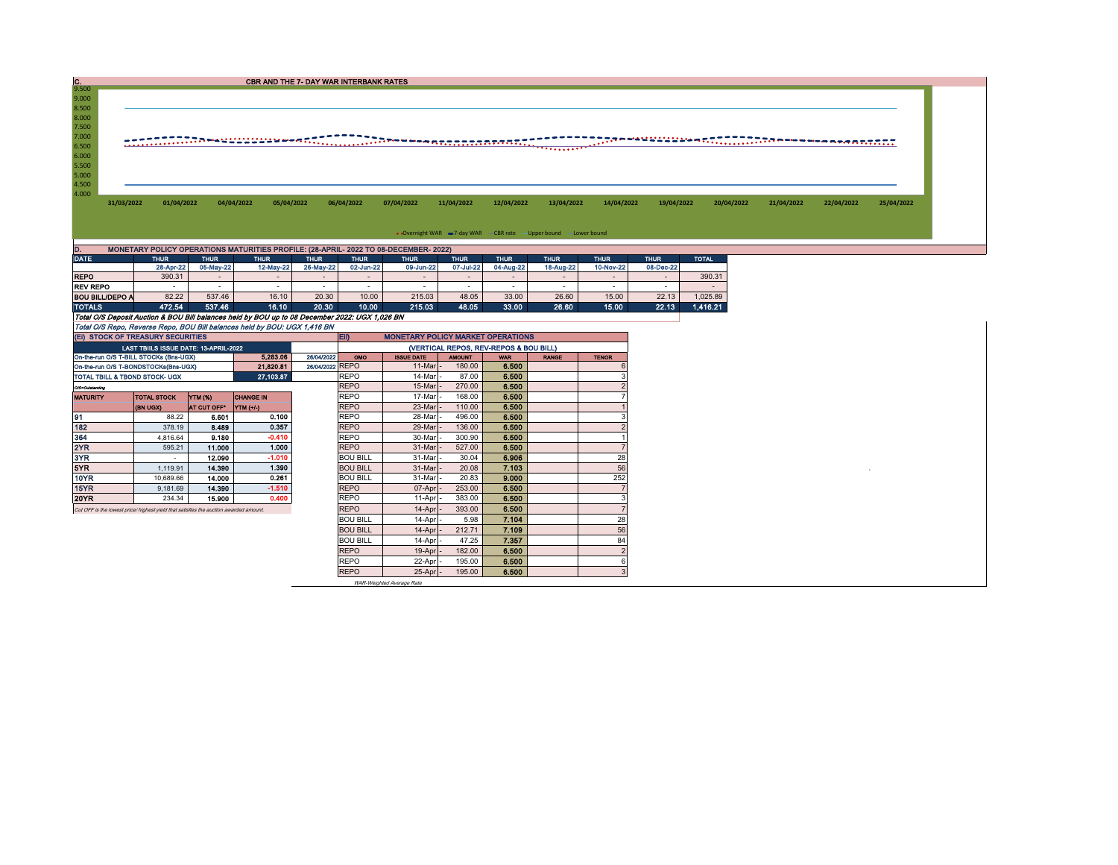| IC.                                                                                            |                                                                                       |                          |                                                                           | <b>CBR AND THE 7- DAY WAR INTERBANK RATES</b>                                        |                          |                          |                                        |                                                                  |                          |                          |              |                                              |            |            |
|------------------------------------------------------------------------------------------------|---------------------------------------------------------------------------------------|--------------------------|---------------------------------------------------------------------------|--------------------------------------------------------------------------------------|--------------------------|--------------------------|----------------------------------------|------------------------------------------------------------------|--------------------------|--------------------------|--------------|----------------------------------------------|------------|------------|
| 9.500<br>9.000                                                                                 |                                                                                       |                          |                                                                           |                                                                                      |                          |                          |                                        |                                                                  |                          |                          |              |                                              |            |            |
| 8.500                                                                                          |                                                                                       |                          |                                                                           |                                                                                      |                          |                          |                                        |                                                                  |                          |                          |              |                                              |            |            |
| 8.000                                                                                          |                                                                                       |                          |                                                                           |                                                                                      |                          |                          |                                        |                                                                  |                          |                          |              |                                              |            |            |
| 7.500                                                                                          |                                                                                       |                          |                                                                           |                                                                                      |                          |                          |                                        |                                                                  |                          |                          |              |                                              |            |            |
| 7.000                                                                                          |                                                                                       |                          |                                                                           |                                                                                      |                          |                          |                                        |                                                                  |                          |                          |              | ŢŢŢŖŦĦĦĠĠĠĠĠĠĿĸĸſŢŢŢŢŢŢŢŢŖŦĦĦĦĦĦĦĸĸĸĸŔŢŢŢŢŢŢ |            |            |
| 6.500                                                                                          |                                                                                       |                          |                                                                           |                                                                                      |                          |                          |                                        | <b>TODARDOOT</b>                                                 |                          |                          |              |                                              |            |            |
| 6.000                                                                                          |                                                                                       |                          |                                                                           |                                                                                      |                          |                          |                                        |                                                                  |                          |                          |              |                                              |            |            |
| 5.500                                                                                          |                                                                                       |                          |                                                                           |                                                                                      |                          |                          |                                        |                                                                  |                          |                          |              |                                              |            |            |
| 5.000                                                                                          |                                                                                       |                          |                                                                           |                                                                                      |                          |                          |                                        |                                                                  |                          |                          |              |                                              |            |            |
| 4.500<br>4.000                                                                                 |                                                                                       |                          |                                                                           |                                                                                      |                          |                          |                                        |                                                                  |                          |                          |              |                                              |            |            |
| 31/03/2022                                                                                     | 01/04/2022                                                                            |                          | 04/04/2022<br>05/04/2022                                                  | 06/04/2022                                                                           | 07/04/2022               | 11/04/2022               | 12/04/2022                             | 13/04/2022                                                       | 14/04/2022               | 19/04/2022               | 20/04/2022   | 21/04/2022                                   | 22/04/2022 | 25/04/2022 |
|                                                                                                |                                                                                       |                          |                                                                           |                                                                                      |                          |                          |                                        |                                                                  |                          |                          |              |                                              |            |            |
|                                                                                                |                                                                                       |                          |                                                                           |                                                                                      |                          |                          |                                        |                                                                  |                          |                          |              |                                              |            |            |
|                                                                                                |                                                                                       |                          |                                                                           |                                                                                      |                          |                          |                                        | . Overnight WAR = 7-day WAR CBR rate - Upper bound - Lower bound |                          |                          |              |                                              |            |            |
|                                                                                                |                                                                                       |                          |                                                                           |                                                                                      |                          |                          |                                        |                                                                  |                          |                          |              |                                              |            |            |
| D.<br><b>DATE</b>                                                                              |                                                                                       |                          |                                                                           | MONETARY POLICY OPERATIONS MATURITIES PROFILE: (28-APRIL- 2022 TO 08-DECEMBER- 2022) |                          |                          |                                        |                                                                  |                          |                          |              |                                              |            |            |
|                                                                                                | <b>THUR</b><br>28-Apr-22                                                              | <b>THUR</b><br>05-May-22 | <b>THUR</b><br>12-May-22                                                  | <b>THUR</b><br><b>THUR</b><br>26-May-22<br>02-Jun-22                                 | <b>THUR</b><br>09-Jun-22 | <b>THUR</b><br>07-Jul-22 | <b>THUR</b><br>04-Aug-22               | <b>THUR</b><br>18-Aug-22                                         | <b>THUR</b><br>10-Nov-22 | <b>THUR</b><br>08-Dec-22 | <b>TOTAL</b> |                                              |            |            |
| <b>REPO</b>                                                                                    | 390.31                                                                                |                          | $\sim$                                                                    | $\sim$<br>$\sim$                                                                     | $\overline{\phantom{a}}$ | $\overline{\phantom{a}}$ | $\sim$                                 | $\sim$                                                           | $\sim$                   | $\sim$                   | 390.31       |                                              |            |            |
| <b>REV REPO</b>                                                                                | in 1919.                                                                              | $\sim$                   | $\sim$                                                                    | $\sim$<br>$\sim$                                                                     | $\sim$                   | $\sim$                   | $\sim$                                 | $\sim$                                                           | $\sim$                   | $\sim$                   | $\sim$       |                                              |            |            |
| <b>BOU BILL/DEPO A</b>                                                                         | 82.22                                                                                 | 537.46                   | 16.10                                                                     | 20.30<br>10.00                                                                       | 215.03                   | 48.05                    | 33.00                                  | 26.60                                                            | 15.00                    | 22.13                    | 1.025.89     |                                              |            |            |
| <b>TOTALS</b>                                                                                  | 472.54                                                                                | 537.46                   | 16.10                                                                     | 20.30<br>10.00                                                                       | 215.03                   | 48.05                    | 33.00                                  | 26.60                                                            | 15.00                    | 22.13                    | 1,416.21     |                                              |            |            |
| Total O/S Deposit Auction & BOU Bill balances held by BOU up to 08 December 2022: UGX 1.026 BN |                                                                                       |                          |                                                                           |                                                                                      |                          |                          |                                        |                                                                  |                          |                          |              |                                              |            |            |
|                                                                                                |                                                                                       |                          | Total O/S Repo, Reverse Repo, BOU Bill balances held by BOU: UGX 1,416 BN |                                                                                      |                          |                          |                                        |                                                                  |                          |                          |              |                                              |            |            |
| (EI) STOCK OF TREASURY SECURITIES<br><b>EID</b><br><b>MONETARY POLICY MARKET OPERATIONS</b>    |                                                                                       |                          |                                                                           |                                                                                      |                          |                          |                                        |                                                                  |                          |                          |              |                                              |            |            |
|                                                                                                | LAST TBIILS ISSUE DATE: 13-APRIL-2022                                                 |                          |                                                                           |                                                                                      |                          |                          | (VERTICAL REPOS, REV-REPOS & BOU BILL) |                                                                  |                          |                          |              |                                              |            |            |
|                                                                                                | On-the-run O/S T-BILL STOCKs (Bns-UGX)                                                |                          | 5.283.06                                                                  | 26/04/2022<br>OMO                                                                    | <b>ISSUE DATE</b>        | <b>AMOUNT</b>            | <b>WAR</b>                             | <b>RANGE</b>                                                     | <b>TENOR</b>             |                          |              |                                              |            |            |
| 21,820.81<br>On-the-run O/S T-BONDSTOCKs(Bns-UGX)                                              |                                                                                       |                          |                                                                           | 26/04/2022 REPO                                                                      | $11$ -Mar $-$            | 180.00                   | 6.500                                  |                                                                  | 6                        |                          |              |                                              |            |            |
| 27,103.87<br>TOTAL TBILL & TBOND STOCK- UGX                                                    |                                                                                       |                          |                                                                           | <b>REPO</b>                                                                          | 14-Mar                   | 87.00                    | 6.500                                  |                                                                  |                          |                          |              |                                              |            |            |
| O/S=Outstanding                                                                                |                                                                                       |                          |                                                                           | <b>REPO</b>                                                                          | 15-Mar                   | 270.00                   | 6.500                                  |                                                                  | $\overline{\phantom{a}}$ |                          |              |                                              |            |            |
| <b>MATURITY</b>                                                                                | <b>TOTAL STOCK</b>                                                                    | YTM (%)                  | <b>CHANGE IN</b>                                                          | <b>REPO</b>                                                                          | 17-Mar                   | 168.00                   | 6.500                                  |                                                                  |                          |                          |              |                                              |            |            |
|                                                                                                | (BN UGX)                                                                              | AT CUT OFF*              | YTM (+/-)                                                                 | <b>REPO</b>                                                                          | 23-Mar                   | 110.00                   | 6,500                                  |                                                                  |                          |                          |              |                                              |            |            |
| 91                                                                                             | 88.22                                                                                 | 6.601                    | 0.100                                                                     | <b>REPO</b>                                                                          | 28-Mar                   | 496.00                   | 6.500                                  |                                                                  | 3                        |                          |              |                                              |            |            |
| 182                                                                                            | 378.19                                                                                | 8.489                    | 0.357                                                                     | <b>REPO</b>                                                                          | 29-Mar                   | 136.00                   | 6.500                                  |                                                                  | $\overline{\phantom{a}}$ |                          |              |                                              |            |            |
| 364                                                                                            | 4.816.64                                                                              | 9.180                    | $-0.410$                                                                  | <b>REPO</b>                                                                          | 30-Mar                   | 300.90                   | 6.500                                  |                                                                  |                          |                          |              |                                              |            |            |
| 2YR                                                                                            | 595.21                                                                                | 11.000                   | 1.000                                                                     | <b>REPO</b>                                                                          | 31-Mar                   | 527.00                   | 6.500                                  |                                                                  | $\overline{7}$           |                          |              |                                              |            |            |
| 3YR                                                                                            | $\sim$                                                                                | 12.090                   | $-1.010$                                                                  | <b>BOU BILL</b>                                                                      | 31-Mar                   | 30.04                    | 6,906                                  |                                                                  | 28                       |                          |              |                                              |            |            |
| 5YR                                                                                            | 1.119.91                                                                              | 14,390                   | 1.390                                                                     | <b>BOU BILL</b>                                                                      | 31-Mar                   | 20.08                    | 7.103                                  |                                                                  | 56                       |                          |              |                                              |            |            |
| <b>10YR</b>                                                                                    | 10,689.66                                                                             | 14.000                   | 0.261                                                                     | <b>BOU BILL</b>                                                                      | 31-Mar                   | 20.83                    | 9.000                                  |                                                                  | 252                      |                          |              |                                              |            |            |
| 15YR                                                                                           | 9,181.69                                                                              | 14.390                   | $-1.510$                                                                  | <b>REPO</b>                                                                          | 07-Apr                   | 253.00                   | 6.500                                  |                                                                  | $\overline{7}$           |                          |              |                                              |            |            |
| <b>20YR</b>                                                                                    | 234.34                                                                                | 15.900                   | 0.400                                                                     | <b>REPO</b>                                                                          | 11-Apr                   | 383.00                   | 6.500                                  |                                                                  | 3                        |                          |              |                                              |            |            |
|                                                                                                | Cut OFF is the lowest price/ highest yield that satisfies the auction awarded amount. |                          |                                                                           | <b>REPO</b>                                                                          | $14$ -Apr $\vert$ -      | 393.00                   | 6.500                                  |                                                                  | $\overline{7}$           |                          |              |                                              |            |            |

BOU BILL 14-Apr - 5.98 7.104 28 BOU BILL 14-Apr - 212.71 7.109 56 BOU BILL 14-Apr - 47.25 7.357 84

800 BILL 14-Apr - 212.71 7.109<br>
800 BILL 14-Apr - 47.25 7.357<br>
REPO 19-Apr - 182.00 6.500

REPO 22-Apr - 195.00 6.**500**<br>REPO 25-Apr - 195.00 6.**500** 3 WAR-Weighted Average Rate